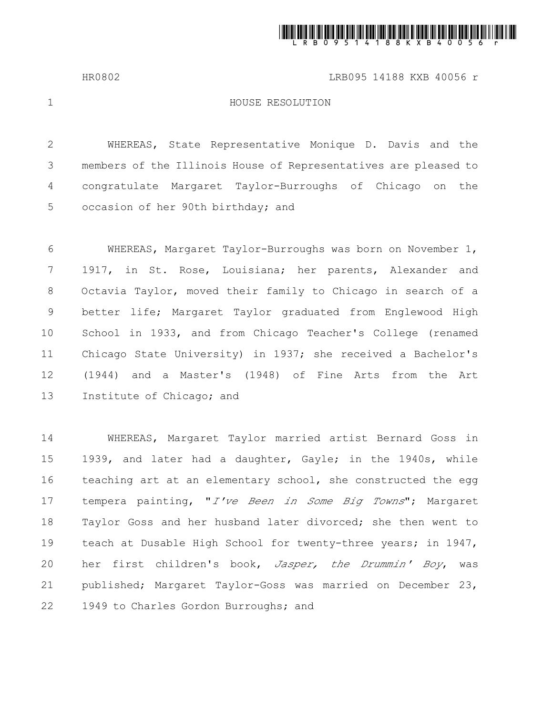

HR0802 LRB095 14188 KXB 40056 r

1

## HOUSE RESOLUTION

WHEREAS, State Representative Monique D. Davis and the members of the Illinois House of Representatives are pleased to congratulate Margaret Taylor-Burroughs of Chicago on the occasion of her 90th birthday; and 2 3 4 5

WHEREAS, Margaret Taylor-Burroughs was born on November 1, 1917, in St. Rose, Louisiana; her parents, Alexander and Octavia Taylor, moved their family to Chicago in search of a better life; Margaret Taylor graduated from Englewood High School in 1933, and from Chicago Teacher's College (renamed Chicago State University) in 1937; she received a Bachelor's (1944) and a Master's (1948) of Fine Arts from the Art Institute of Chicago; and 6 7 8 9 10 11 12 13

WHEREAS, Margaret Taylor married artist Bernard Goss in 1939, and later had a daughter, Gayle; in the 1940s, while teaching art at an elementary school, she constructed the egg tempera painting, "*I've Been in Some Big Towns*"; Margaret Taylor Goss and her husband later divorced; she then went to teach at Dusable High School for twenty-three years; in 1947, her first children's book, *Jasper, the Drummin' Boy*, was published; Margaret Taylor-Goss was married on December 23, 1949 to Charles Gordon Burroughs; and 14 15 16 17 18 19 20 21 22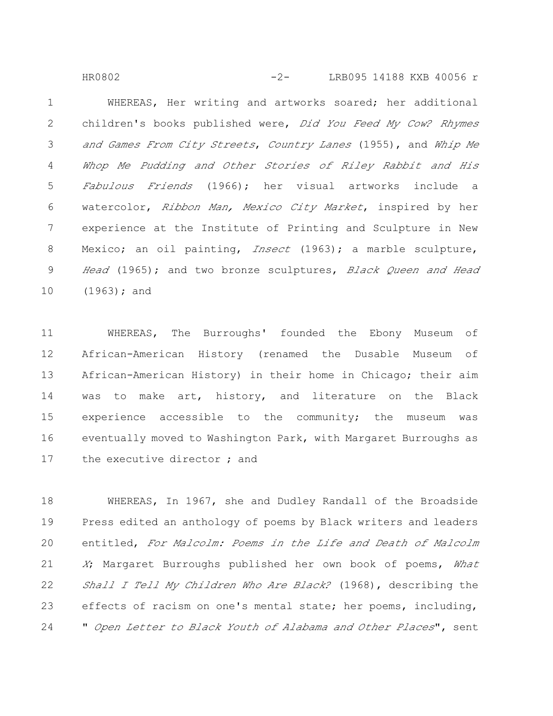WHEREAS, Her writing and artworks soared; her additional children's books published were, Did You Feed My Cow? Rhymes and Games From City Streets, Country Lanes (1955), and Whip Me Whop Me Pudding and Other Stories of Riley Rabbit and His Fabulous Friends (1966); her visual artworks include a watercolor, Ribbon Man, Mexico City Market, inspired by her experience at the Institute of Printing and Sculpture in New Mexico; an oil painting, *Insect* (1963); a marble sculpture, Head (1965); and two bronze sculptures, Black Oueen and Head  $(1963)$ ; and 1 2 3 4 5 6 7 8 9 10 HR0802 -2- LRB095 14188 KXB 40056 r

WHEREAS, The Burroughs' founded the Ebony Museum of African-American History (renamed the Dusable Museum of African-American History) in their home in Chicago; their aim was to make art, history, and literature on the Black experience accessible to the community; the museum was eventually moved to Washington Park, with Margaret Burroughs as the executive director ; and 11 12 13 14 15 16 17

WHEREAS, In 1967, she and Dudley Randall of the Broadside Press edited an anthology of poems by Black writers and leaders entitled, For Malcolm: Poems in the Life and Death of Malcolm X; Margaret Burroughs published her own book of poems, What Shall I Tell My Children Who Are Black? (1968), describing the effects of racism on one's mental state; her poems, including, " Open Letter to Black Youth of Alabama and Other Places", sent 18 19 20 21 22 23 24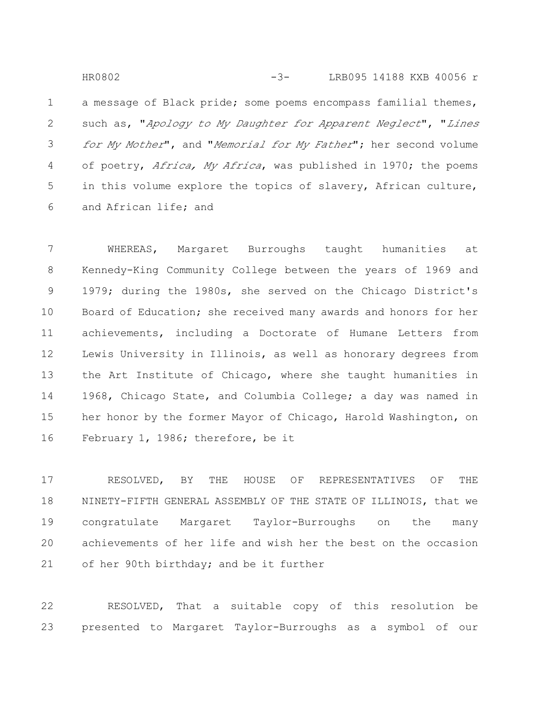a message of Black pride; some poems encompass familial themes, such as, "Apology to My Daughter for Apparent Neglect", "Lines for My Mother", and "Memorial for My Father"; her second volume of poetry, *Africa, My Africa*, was published in 1970; the poems in this volume explore the topics of slavery, African culture, and African life; and 1 2 3 4 5 6 -3-HR0802 LRB095 14188 KXB 40056 r

WHEREAS, Margaret Burroughs taught humanities at Kennedy-King Community College between the years of 1969 and 1979; during the 1980s, she served on the Chicago District's Board of Education; she received many awards and honors for her achievements, including a Doctorate of Humane Letters from Lewis University in Illinois, as well as honorary degrees from the Art Institute of Chicago, where she taught humanities in 1968, Chicago State, and Columbia College; a day was named in her honor by the former Mayor of Chicago, Harold Washington, on February 1, 1986; therefore, be it 7 8 9 10 11 12 13 14 15 16

RESOLVED, BY THE HOUSE OF REPRESENTATIVES OF THE NINETY-FIFTH GENERAL ASSEMBLY OF THE STATE OF ILLINOIS, that we congratulate Margaret Taylor-Burroughs on the many achievements of her life and wish her the best on the occasion of her 90th birthday; and be it further 17 18 19 20 21

RESOLVED, That a suitable copy of this resolution be presented to Margaret Taylor-Burroughs as a symbol of our 22 23